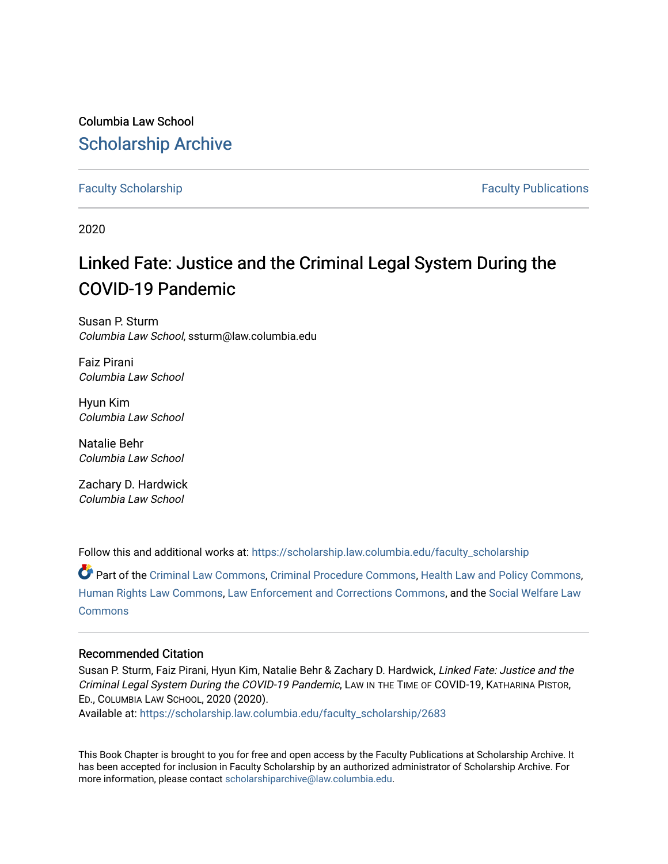## Columbia Law School [Scholarship Archive](https://scholarship.law.columbia.edu/)

### [Faculty Scholarship](https://scholarship.law.columbia.edu/faculty_scholarship) **Faculty Scholarship Faculty Publications**

2020

# Linked Fate: Justice and the Criminal Legal System During the COVID-19 Pandemic

Susan P. Sturm Columbia Law School, ssturm@law.columbia.edu

Faiz Pirani Columbia Law School

Hyun Kim Columbia Law School

Natalie Behr Columbia Law School

Zachary D. Hardwick Columbia Law School

Follow this and additional works at: [https://scholarship.law.columbia.edu/faculty\\_scholarship](https://scholarship.law.columbia.edu/faculty_scholarship?utm_source=scholarship.law.columbia.edu%2Ffaculty_scholarship%2F2683&utm_medium=PDF&utm_campaign=PDFCoverPages)

Part of the [Criminal Law Commons,](http://network.bepress.com/hgg/discipline/912?utm_source=scholarship.law.columbia.edu%2Ffaculty_scholarship%2F2683&utm_medium=PDF&utm_campaign=PDFCoverPages) [Criminal Procedure Commons,](http://network.bepress.com/hgg/discipline/1073?utm_source=scholarship.law.columbia.edu%2Ffaculty_scholarship%2F2683&utm_medium=PDF&utm_campaign=PDFCoverPages) [Health Law and Policy Commons,](http://network.bepress.com/hgg/discipline/901?utm_source=scholarship.law.columbia.edu%2Ffaculty_scholarship%2F2683&utm_medium=PDF&utm_campaign=PDFCoverPages) [Human Rights Law Commons](http://network.bepress.com/hgg/discipline/847?utm_source=scholarship.law.columbia.edu%2Ffaculty_scholarship%2F2683&utm_medium=PDF&utm_campaign=PDFCoverPages), [Law Enforcement and Corrections Commons](http://network.bepress.com/hgg/discipline/854?utm_source=scholarship.law.columbia.edu%2Ffaculty_scholarship%2F2683&utm_medium=PDF&utm_campaign=PDFCoverPages), and the [Social Welfare Law](http://network.bepress.com/hgg/discipline/878?utm_source=scholarship.law.columbia.edu%2Ffaculty_scholarship%2F2683&utm_medium=PDF&utm_campaign=PDFCoverPages)  **[Commons](http://network.bepress.com/hgg/discipline/878?utm_source=scholarship.law.columbia.edu%2Ffaculty_scholarship%2F2683&utm_medium=PDF&utm_campaign=PDFCoverPages)** 

### Recommended Citation

Susan P. Sturm, Faiz Pirani, Hyun Kim, Natalie Behr & Zachary D. Hardwick, Linked Fate: Justice and the Criminal Legal System During the COVID-19 Pandemic, LAW IN THE TIME OF COVID-19, KATHARINA PISTOR, ED., COLUMBIA LAW SCHOOL, 2020 (2020).

Available at: [https://scholarship.law.columbia.edu/faculty\\_scholarship/2683](https://scholarship.law.columbia.edu/faculty_scholarship/2683?utm_source=scholarship.law.columbia.edu%2Ffaculty_scholarship%2F2683&utm_medium=PDF&utm_campaign=PDFCoverPages)

This Book Chapter is brought to you for free and open access by the Faculty Publications at Scholarship Archive. It has been accepted for inclusion in Faculty Scholarship by an authorized administrator of Scholarship Archive. For more information, please contact [scholarshiparchive@law.columbia.edu.](mailto:scholarshiparchive@law.columbia.edu)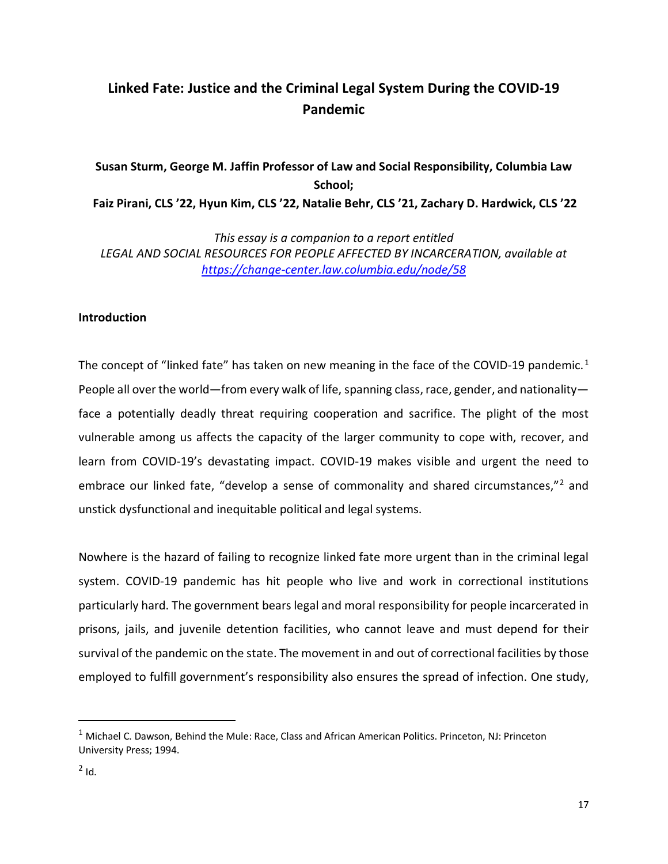### **Linked Fate: Justice and the Criminal Legal System During the COVID-19 Pandemic**

# **Susan Sturm, George M. Jaffin Professor of Law and Social Responsibility, Columbia Law School;**

**Faiz Pirani, CLS '22, Hyun Kim, CLS '22, Natalie Behr, CLS '21, Zachary D. Hardwick, CLS '22**

*This essay is a companion to a report entitled LEGAL AND SOCIAL RESOURCES FOR PEOPLE AFFECTED BY INCARCERATION, available at <https://change-center.law.columbia.edu/node/58>*

### **Introduction**

The concept of "linked fate" has taken on new meaning in the face of the COVID-[1](#page-1-0)9 pandemic.<sup>1</sup> People all over the world—from every walk of life, spanning class, race, gender, and nationality face a potentially deadly threat requiring cooperation and sacrifice. The plight of the most vulnerable among us affects the capacity of the larger community to cope with, recover, and learn from COVID-19's devastating impact. COVID-19 makes visible and urgent the need to embrace our linked fate, "develop a sense of commonality and shared circumstances,"<sup>[2](#page-1-1)</sup> and unstick dysfunctional and inequitable political and legal systems.

Nowhere is the hazard of failing to recognize linked fate more urgent than in the criminal legal system. COVID-19 pandemic has hit people who live and work in correctional institutions particularly hard. The government bears legal and moral responsibility for people incarcerated in prisons, jails, and juvenile detention facilities, who cannot leave and must depend for their survival of the pandemic on the state. The movement in and out of correctional facilities by those employed to fulfill government's responsibility also ensures the spread of infection. One study,

<span id="page-1-1"></span><span id="page-1-0"></span><sup>&</sup>lt;sup>1</sup> Michael C. Dawson, Behind the Mule: Race, Class and African American Politics. Princeton, NJ: Princeton University Press; 1994.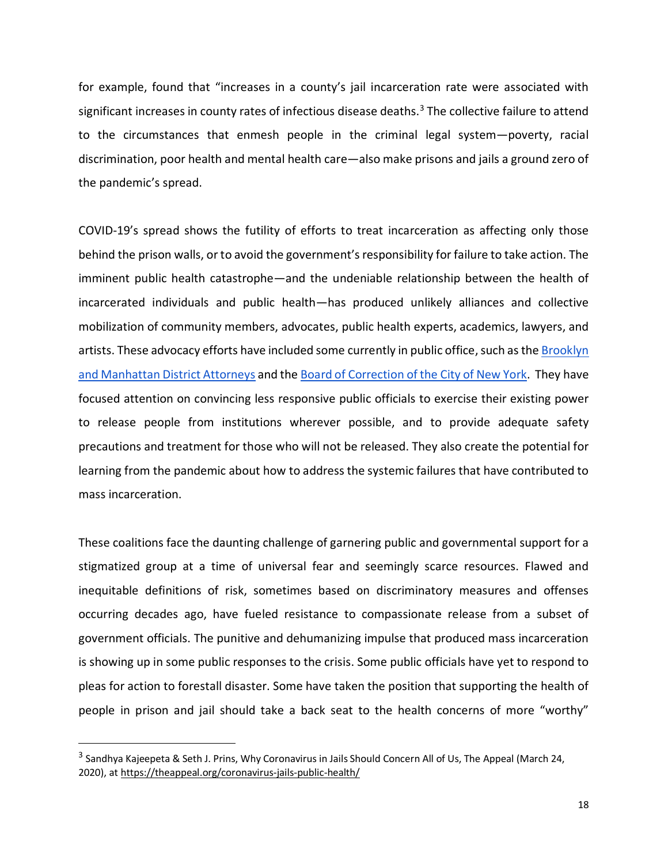for example, found that "increases in a county's jail incarceration rate were associated with significant increases in county rates of infectious disease deaths.<sup>[3](#page-2-0)</sup> The collective failure to attend to the circumstances that enmesh people in the criminal legal system—poverty, racial discrimination, poor health and mental health care—also make prisons and jails a ground zero of the pandemic's spread.

COVID-19's spread shows the futility of efforts to treat incarceration as affecting only those behind the prison walls, or to avoid the government's responsibility for failure to take action. The imminent public health catastrophe—and the undeniable relationship between the health of incarcerated individuals and public health—has produced unlikely alliances and collective mobilization of community members, advocates, public health experts, academics, lawyers, and artists. These advocacy efforts have included some currently in public office, such as th[e Brooklyn](https://fairandjustprosecution.org/wp-content/uploads/2020/03/Coronavirus-Sign-On-Letter.pdf)  [and Manhattan District Attorneys](https://fairandjustprosecution.org/wp-content/uploads/2020/03/Coronavirus-Sign-On-Letter.pdf) and th[e Board of Correction of the City of New York.](http://www.queensda.org/da_Katz_pressRelease/2020/MAR_2020/weekly%20e-blast%2003202020.pdf) They have focused attention on convincing less responsive public officials to exercise their existing power to release people from institutions wherever possible, and to provide adequate safety precautions and treatment for those who will not be released. They also create the potential for learning from the pandemic about how to address the systemic failures that have contributed to mass incarceration.

These coalitions face the daunting challenge of garnering public and governmental support for a stigmatized group at a time of universal fear and seemingly scarce resources. Flawed and inequitable definitions of risk, sometimes based on discriminatory measures and offenses occurring decades ago, have fueled resistance to compassionate release from a subset of government officials. The punitive and dehumanizing impulse that produced mass incarceration is showing up in some public responses to the crisis. Some public officials have yet to respond to pleas for action to forestall disaster. Some have taken the position that supporting the health of people in prison and jail should take a back seat to the health concerns of more "worthy"

<span id="page-2-0"></span><sup>&</sup>lt;sup>3</sup> Sandhya Kajeepeta & Seth J. Prins, Why Coronavirus in Jails Should Concern All of Us, The Appeal (March 24, 2020), a[t https://theappeal.org/coronavirus-jails-public-health/](https://theappeal.org/coronavirus-jails-public-health/)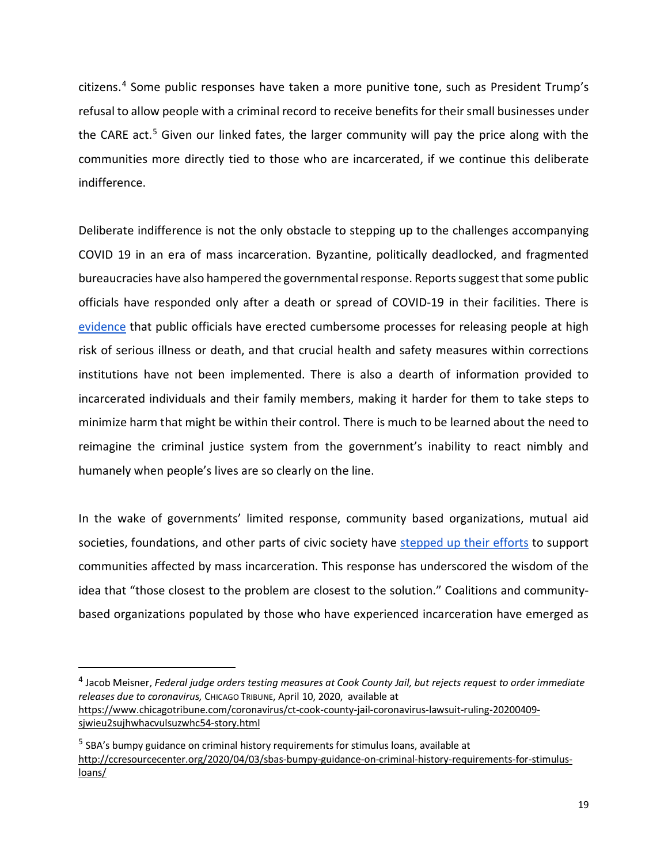citizens.[4](#page-3-0) Some public responses have taken a more punitive tone, such as President Trump's refusal to allow people with a criminal record to receive benefits for their small businesses under the CARE act.<sup>[5](#page-3-1)</sup> Given our linked fates, the larger community will pay the price along with the communities more directly tied to those who are incarcerated, if we continue this deliberate indifference.

Deliberate indifference is not the only obstacle to stepping up to the challenges accompanying COVID 19 in an era of mass incarceration. Byzantine, politically deadlocked, and fragmented bureaucracies have also hampered the governmental response. Reports suggest that some public officials have responded only after a death or spread of COVID-19 in their facilities. There is [evidence](https://www.fd.org/sites/default/files/covid19/other_resources/defender_letter_ag_barr_re_covid-19_4-1-20.pdf) that public officials have erected cumbersome processes for releasing people at high risk of serious illness or death, and that crucial health and safety measures within corrections institutions have not been implemented. There is also a dearth of information provided to incarcerated individuals and their family members, making it harder for them to take steps to minimize harm that might be within their control. There is much to be learned about the need to reimagine the criminal justice system from the government's inability to react nimbly and humanely when people's lives are so clearly on the line.

In the wake of governments' limited response, community based organizations, mutual aid societies, foundations, and other parts of civic society have [stepped up their efforts](https://change-center.law.columbia.edu/content/benefits-and-social-safety-net) to support communities affected by mass incarceration. This response has underscored the wisdom of the idea that "those closest to the problem are closest to the solution." Coalitions and communitybased organizations populated by those who have experienced incarceration have emerged as

<span id="page-3-0"></span> 4 Jacob Meisner, *Federal judge orders testing measures at Cook County Jail, but rejects request to order immediate releases due to coronavirus,* CHICAGO TRIBUNE, April 10, 2020, available at [https://www.chicagotribune.com/coronavirus/ct-cook-county-jail-coronavirus-lawsuit-ruling-20200409](https://www.chicagotribune.com/coronavirus/ct-cook-county-jail-coronavirus-lawsuit-ruling-20200409-sjwieu2sujhwhacvulsuzwhc54-story.html) [sjwieu2sujhwhacvulsuzwhc54-story.html](https://www.chicagotribune.com/coronavirus/ct-cook-county-jail-coronavirus-lawsuit-ruling-20200409-sjwieu2sujhwhacvulsuzwhc54-story.html)

<span id="page-3-1"></span><sup>5</sup> SBA's bumpy guidance on criminal history requirements for stimulus loans, available at [http://ccresourcecenter.org/2020/04/03/sbas-bumpy-guidance-on-criminal-history-requirements-for-stimulus](http://ccresourcecenter.org/2020/04/03/sbas-bumpy-guidance-on-criminal-history-requirements-for-stimulus-loans/)[loans/](http://ccresourcecenter.org/2020/04/03/sbas-bumpy-guidance-on-criminal-history-requirements-for-stimulus-loans/)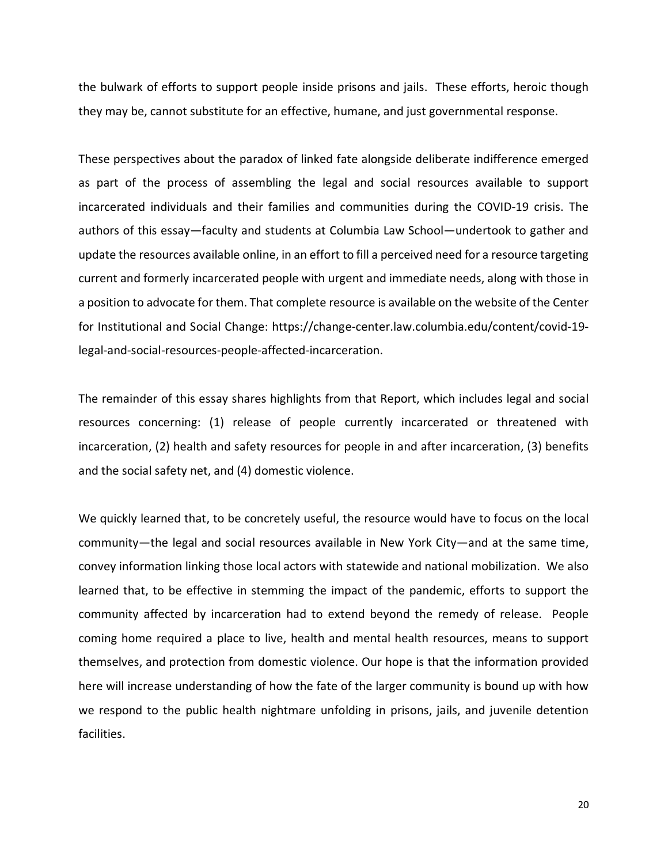the bulwark of efforts to support people inside prisons and jails. These efforts, heroic though they may be, cannot substitute for an effective, humane, and just governmental response.

These perspectives about the paradox of linked fate alongside deliberate indifference emerged as part of the process of assembling the legal and social resources available to support incarcerated individuals and their families and communities during the COVID-19 crisis. The authors of this essay—faculty and students at Columbia Law School—undertook to gather and update the resources available online, in an effort to fill a perceived need for a resource targeting current and formerly incarcerated people with urgent and immediate needs, along with those in a position to advocate for them. That complete resource is available on the website of the Center for Institutional and Social Change: https://change-center.law.columbia.edu/content/covid-19 legal-and-social-resources-people-affected-incarceration.

The remainder of this essay shares highlights from that Report, which includes legal and social resources concerning: (1) release of people currently incarcerated or threatened with incarceration, (2) health and safety resources for people in and after incarceration, (3) benefits and the social safety net, and (4) domestic violence.

We quickly learned that, to be concretely useful, the resource would have to focus on the local community—the legal and social resources available in New York City—and at the same time, convey information linking those local actors with statewide and national mobilization. We also learned that, to be effective in stemming the impact of the pandemic, efforts to support the community affected by incarceration had to extend beyond the remedy of release. People coming home required a place to live, health and mental health resources, means to support themselves, and protection from domestic violence. Our hope is that the information provided here will increase understanding of how the fate of the larger community is bound up with how we respond to the public health nightmare unfolding in prisons, jails, and juvenile detention facilities.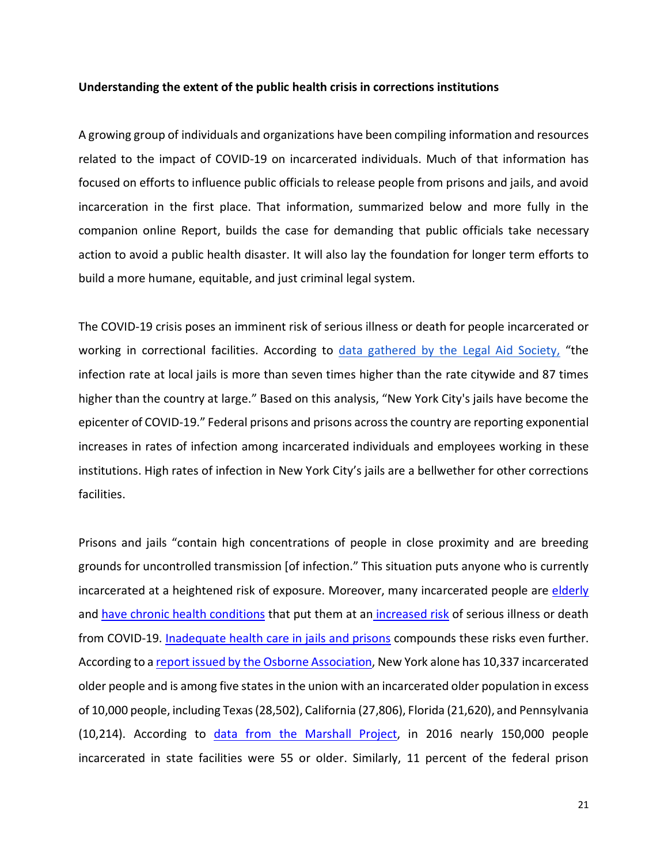#### **Understanding the extent of the public health crisis in corrections institutions**

A growing group of individuals and organizations have been compiling information and resources related to the impact of COVID-19 on incarcerated individuals. Much of that information has focused on efforts to influence public officials to release people from prisons and jails, and avoid incarceration in the first place. That information, summarized below and more fully in the companion online Report, builds the case for demanding that public officials take necessary action to avoid a public health disaster. It will also lay the foundation for longer term efforts to build a more humane, equitable, and just criminal legal system.

The COVID-19 crisis poses an imminent risk of serious illness or death for people incarcerated or working in correctional facilities. According to [data gathered by the Legal Aid Society,](https://change-center.law.columbia.edu/content/benefits-and-social-safety-net) "the infection rate at local jails is more than seven times higher than the rate citywide and 87 times higher than the country at large." Based on this analysis, "New York City's jails have become the epicenter of COVID-19." Federal prisons and prisons across the country are reporting exponential increases in rates of infection among incarcerated individuals and employees working in these institutions. High rates of infection in New York City's jails are a bellwether for other corrections facilities.

Prisons and jails "contain high concentrations of people in close proximity and are breeding grounds for uncontrolled transmission [of infection." This situation puts anyone who is currently incarcerated at a heightened risk of exposure. Moreover, many incarcerated people are [elderly](http://rappcampaign.com/wp-content/uploads/RAPP-Infographic_UPDATED.pdf) and [have chronic health conditions](https://www.ncbi.nlm.nih.gov/pubmed/29584869) that put them at an [increased risk](https://www.cdc.gov/coronavirus/2019-ncov/need-extra-precautions/groups-at-higher-risk.html) of serious illness or death from COVID-19. [Inadequate health care in jails and prisons](https://thejusticecollaborative.com/wp-content/uploads/2020/03/TJCVulnerabilityofPrisonsandJailstoCOVID19Explainer.pdf) compounds these risks even further. According to a [report issued by the Osborne Association,](http://www.osborneny.org/resources/the-high-costs-of-low-risk/hclr/) New York alone has 10,337 incarcerated older people and is among five states in the union with an incarcerated older population in excess of 10,000 people, including Texas (28,502), California (27,806), Florida (21,620), and Pennsylvania (10,214). According to [data from the Marshall Project,](https://www.themarshallproject.org/2020/03/19/this-chart-shows-why-the-prison-population-is-so-vulnerable-to-covid-19) in 2016 nearly 150,000 people incarcerated in state facilities were 55 or older. Similarly, 11 percent of the federal prison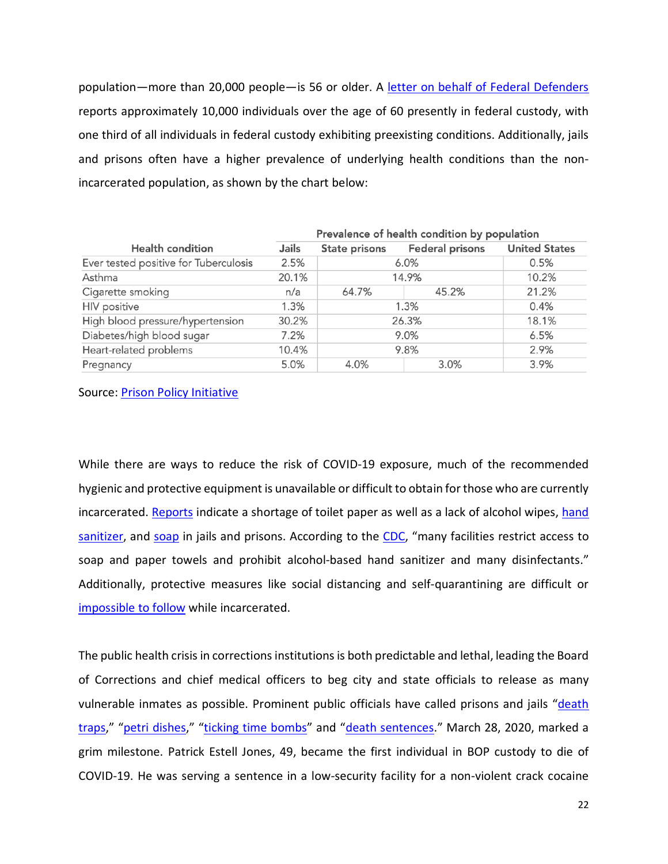population—more than 20,000 people—is 56 or older. A [letter on behalf of Federal Defenders](https://www.fd.org/sites/default/files/covid19/other_resources/defender_letter_ag_barr_re_covid-19_4-1-20.pdf) reports approximately 10,000 individuals over the age of 60 presently in federal custody, with one third of all individuals in federal custody exhibiting preexisting conditions. Additionally, jails and prisons often have a higher prevalence of underlying health conditions than the nonincarcerated population, as shown by the chart below:

|                                       | Prevalence of health condition by population |               |                        |                      |
|---------------------------------------|----------------------------------------------|---------------|------------------------|----------------------|
| <b>Health condition</b>               | Jails                                        | State prisons | <b>Federal prisons</b> | <b>United States</b> |
| Ever tested positive for Tuberculosis | 2.5%                                         | 6.0%          |                        | 0.5%                 |
| Asthma                                | 20.1%                                        | 14.9%         |                        | 10.2%                |
| Cigarette smoking                     | n/a                                          | 64.7%         | 45.2%                  | 21.2%                |
| <b>HIV</b> positive                   | 1.3%                                         | 1.3%          |                        | 0.4%                 |
| High blood pressure/hypertension      | 30.2%                                        | 26.3%         |                        | 18.1%                |
| Diabetes/high blood sugar             | 7.2%                                         | 9.0%          |                        | 6.5%                 |
| Heart-related problems                | 10.4%                                        | 9.8%          |                        | 2.9%                 |
| Pregnancy                             | 5.0%                                         | 4.0%          | 3.0%                   | 3.9%                 |

#### Source: [Prison Policy Initiative](https://www.prisonpolicy.org/blog/2020/03/06/pandemic/)

While there are ways to reduce the risk of COVID-19 exposure, much of the recommended hygienic and protective equipment is unavailable or difficult to obtain for those who are currently incarcerated. [Reports](https://www.themarshallproject.org/2020/03/18/what-coronavirus-quarantine-looks-like-in-prison) indicate a shortage of toilet paper as well as a lack of alcohol wipes, [hand](https://rapidcityjournal.com/news/local/inmates-want-more-covid--precautions-at-pennington-county-jail/article_82a545ca-c6ed-52b3-bbfe-27f5d3b806eb.html)  [sanitizer,](https://rapidcityjournal.com/news/local/inmates-want-more-covid--precautions-at-pennington-county-jail/article_82a545ca-c6ed-52b3-bbfe-27f5d3b806eb.html) and [soap](https://www.usatoday.com/story/news/investigations/2020/03/07/prison-policies-inmates-best-coronavirus-practices/4978412002/) in jails and prisons. According to the [CDC,](https://www.cdc.gov/coronavirus/2019-ncov/community/correction-detention/guidance-correctional-detention.html) "many facilities restrict access to soap and paper towels and prohibit alcohol-based hand sanitizer and many disinfectants." Additionally, protective measures like social distancing and self-quarantining are difficult or [impossible to follow](https://abcnews.go.com/Health/shampoo-watery-soap-disinfect-conditions-rikers-island-covid/story?id=69767859) while incarcerated.

The public health crisis in corrections institutions is both predictable and lethal, leading the Board of Corrections and chief medical officers to beg city and state officials to release as many vulnerable inmates as possible. Prominent public officials have called prisons and jails "death [traps,](https://www.theguardian.com/commentisfree/2020/mar/30/jails-coronavirus-us-rikers-island)" ["petri dishes,](https://www.nytimes.com/2020/03/30/us/coronavirus-prisons-jails.html)" ["ticking time bombs"](https://federaldefendersny.org/about-us/news/federal-defenders-letter-to-the-courts.html) and ["death sentences.](https://www.seattletimes.com/opinion/with-coronavirus-prison-and-jail-sentences-could-become-death-sentences/)" March 28, 2020, marked a grim milestone. Patrick Estell Jones, 49, became the first individual in BOP custody to die of COVID-19. He was serving a sentence in a low-security facility for a non-violent crack cocaine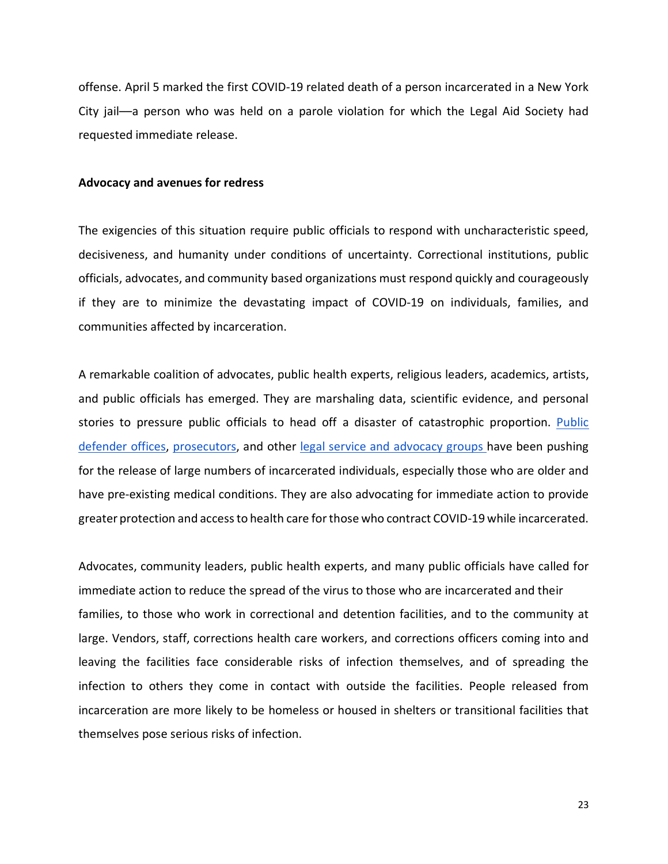offense. April 5 marked the first COVID-19 related death of a person incarcerated in a New York City jail––a person who was held on a parole violation for which the Legal Aid Society had requested immediate release.

#### **Advocacy and avenues for redress**

The exigencies of this situation require public officials to respond with uncharacteristic speed, decisiveness, and humanity under conditions of uncertainty. Correctional institutions, public officials, advocates, and community based organizations must respond quickly and courageously if they are to minimize the devastating impact of COVID-19 on individuals, families, and communities affected by incarceration.

A remarkable coalition of advocates, public health experts, religious leaders, academics, artists, and public officials has emerged. They are marshaling data, scientific evidence, and personal stories to pressure public officials to head off a disaster of catastrophic proportion. [Public](https://www.fd.org/sites/default/files/covid19/other_resources/defender_letter_ag_barr_re_covid-19_4-1-20.pdf)  [defender offices,](https://www.fd.org/sites/default/files/covid19/other_resources/defender_letter_ag_barr_re_covid-19_4-1-20.pdf) [prosecutors,](https://fairandjustprosecution.org/wp-content/uploads/2020/03/Coronavirus-Sign-On-Letter.pdf) and other [legal service and advocacy groups h](http://www.osborneny.org/news/appeal-to-governor-andrew-m-cuomo/)ave been pushing for the release of large numbers of incarcerated individuals, especially those who are older and have pre-existing medical conditions. They are also advocating for immediate action to provide greater protection and access to health care for those who contract COVID-19 while incarcerated.

Advocates, community leaders, public health experts, and many public officials have called for immediate action to reduce the spread of the virus to those who are incarcerated and their families, to those who work in correctional and detention facilities, and to the community at large. Vendors, staff, corrections health care workers, and corrections officers coming into and leaving the facilities face considerable risks of infection themselves, and of spreading the infection to others they come in contact with outside the facilities. People released from incarceration are more likely to be homeless or housed in shelters or transitional facilities that themselves pose serious risks of infection.

23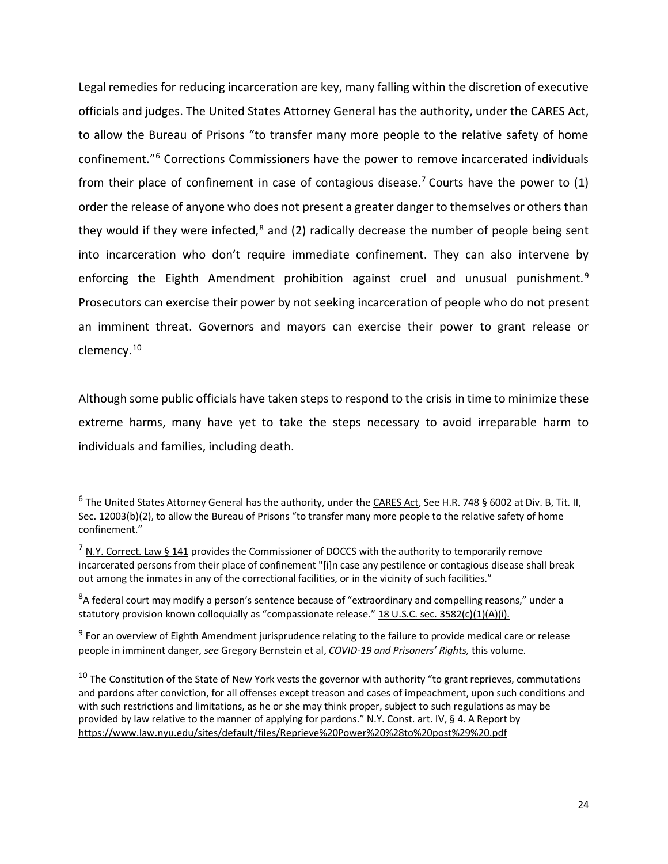Legal remedies for reducing incarceration are key, many falling within the discretion of executive officials and judges. The United States Attorney General has the authority, under the CARES Act, to allow the Bureau of Prisons "to transfer many more people to the relative safety of home confinement."[6](#page-8-0) Corrections Commissioners have the power to remove incarcerated individuals from their place of confinement in case of contagious disease.<sup>7</sup> Courts have the power to  $(1)$ order the release of anyone who does not present a greater danger to themselves or others than they would if they were infected, $8$  and (2) radically decrease the number of people being sent into incarceration who don't require immediate confinement. They can also intervene by enforcing the Eighth Amendment prohibition against cruel and unusual punishment.<sup>[9](#page-8-3)</sup> Prosecutors can exercise their power by not seeking incarceration of people who do not present an imminent threat. Governors and mayors can exercise their power to grant release or clemency.[10](#page-8-4)

Although some public officials have taken steps to respond to the crisis in time to minimize these extreme harms, many have yet to take the steps necessary to avoid irreparable harm to individuals and families, including death.

<span id="page-8-0"></span><sup>&</sup>lt;sup>6</sup> The United States Attorney General has the authority, under th[e CARES Act,](https://www.fd.org/sites/default/files/covid19/cares_act_text.pdf) See H.R. 748 § 6002 at Div. B, Tit. II, Sec. 12003(b)(2), to allow the Bureau of Prisons "to transfer many more people to the relative safety of home confinement."

<span id="page-8-1"></span> $<sup>7</sup>$  [N.Y. Correct. Law § 141](https://codes.findlaw.com/ny/correction-law/cor-sect-141.html) provides the Commissioner of DOCCS with the authority to temporarily remove</sup> incarcerated persons from their place of confinement "[i]n case any pestilence or contagious disease shall break out among the inmates in any of the correctional facilities, or in the vicinity of such facilities."

<span id="page-8-2"></span> ${}^{8}$ A federal court may modify a person's sentence because of "extraordinary and compelling reasons," under a statutory provision known colloquially as "compassionate release.[" 18 U.S.C. sec. 3582\(c\)\(1\)\(A\)\(i\).](https://www.law.cornell.edu/uscode/text/18/3582)

<span id="page-8-3"></span><sup>&</sup>lt;sup>9</sup> For an overview of Eighth Amendment jurisprudence relating to the failure to provide medical care or release people in imminent danger, *see* Gregory Bernstein et al, *COVID-19 and Prisoners' Rights,* this volume.

<span id="page-8-4"></span> $10$  The Constitution of the State of New York vests the governor with authority "to grant reprieves, commutations and pardons after conviction, for all offenses except treason and cases of impeachment, upon such conditions and with such restrictions and limitations, as he or she may think proper, subject to such regulations as may be provided by law relative to the manner of applying for pardons." N.Y. Const. art. IV, § 4. A Report by <https://www.law.nyu.edu/sites/default/files/Reprieve%20Power%20%28to%20post%29%20.pdf>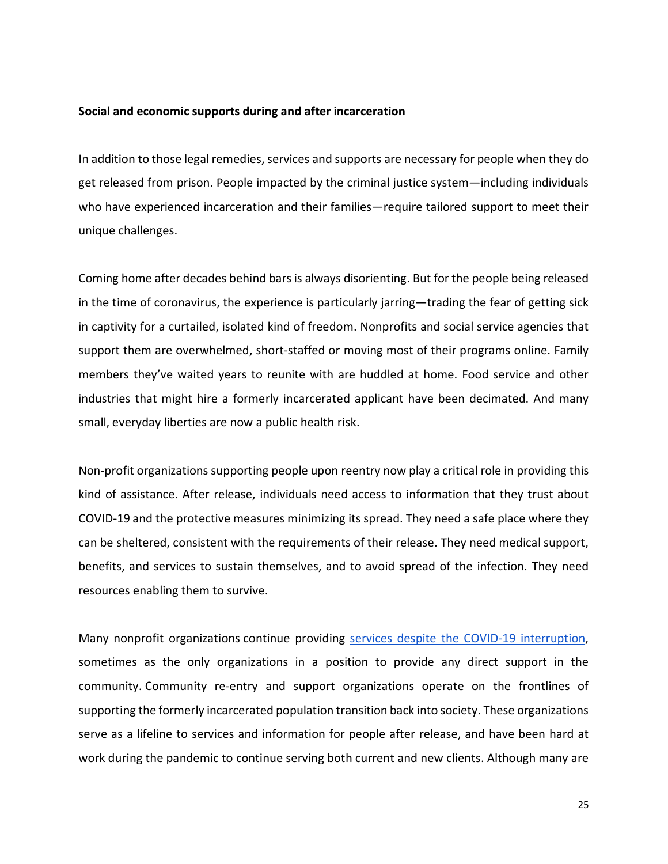#### **Social and economic supports during and after incarceration**

In addition to those legal remedies, services and supports are necessary for people when they do get released from prison. People impacted by the criminal justice system—including individuals who have experienced incarceration and their families—require tailored support to meet their unique challenges.

Coming home after decades behind bars is always disorienting. But for the people being released in the time of coronavirus, the experience is particularly jarring—trading the fear of getting sick in captivity for a curtailed, isolated kind of freedom. Nonprofits and social service agencies that support them are overwhelmed, short-staffed or moving most of their programs online. Family members they've waited years to reunite with are huddled at home. Food service and other industries that might hire a formerly incarcerated applicant have been decimated. And many small, everyday liberties are now a public health risk.

Non-profit organizations supporting people upon reentry now play a critical role in providing this kind of assistance. After release, individuals need access to information that they trust about COVID-19 and the protective measures minimizing its spread. They need a safe place where they can be sheltered, consistent with the requirements of their release. They need medical support, benefits, and services to sustain themselves, and to avoid spread of the infection. They need resources enabling them to survive.

Many nonprofit organizations continue providing [services despite the COVID-19 interruption,](https://change-center.law.columbia.edu/content/benefits-and-social-safety-net) sometimes as the only organizations in a position to provide any direct support in the community. Community re-entry and support organizations operate on the frontlines of supporting the formerly incarcerated population transition back into society. These organizations serve as a lifeline to services and information for people after release, and have been hard at work during the pandemic to continue serving both current and new clients. Although many are

25